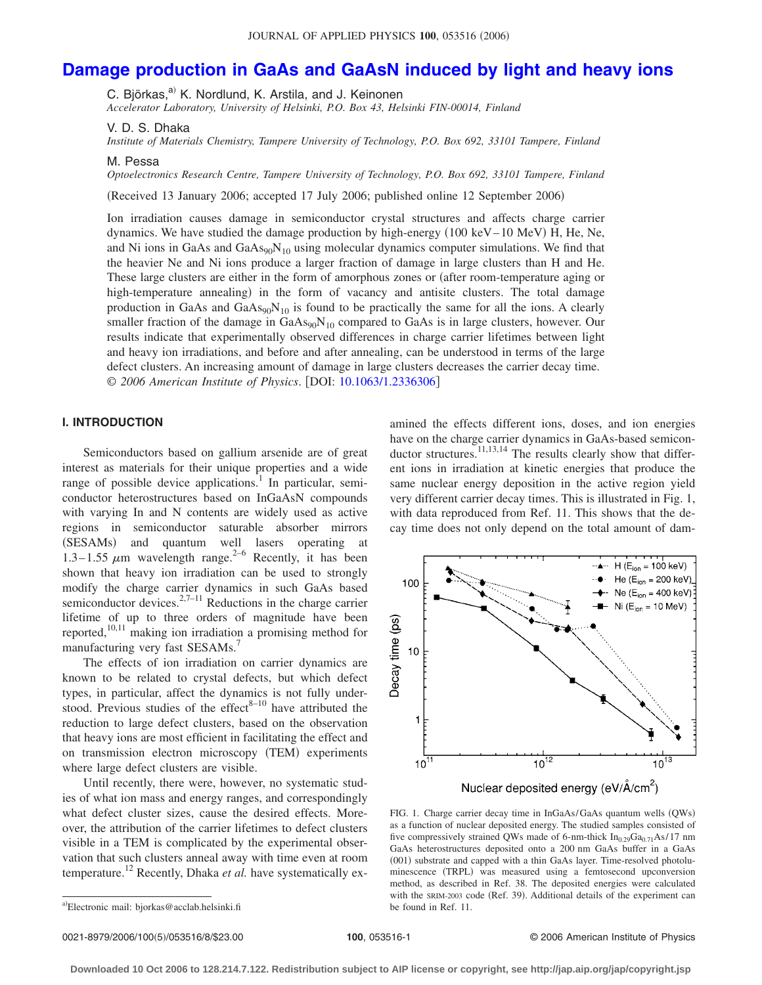# **[Damage production in GaAs and GaAsN induced by light and heavy ions](http://dx.doi.org/10.1063/1.2336306)**

C. Björkas,<sup>a)</sup> K. Nordlund, K. Arstila, and J. Keinonen

*Accelerator Laboratory, University of Helsinki, P.O. Box 43, Helsinki FIN-00014, Finland*

V. D. S. Dhaka

*Institute of Materials Chemistry, Tampere University of Technology, P.O. Box 692, 33101 Tampere, Finland*

M. Pessa

*Optoelectronics Research Centre, Tampere University of Technology, P.O. Box 692, 33101 Tampere, Finland*

(Received 13 January 2006; accepted 17 July 2006; published online 12 September 2006)

Ion irradiation causes damage in semiconductor crystal structures and affects charge carrier dynamics. We have studied the damage production by high-energy (100 keV-10 MeV) H, He, Ne, and Ni ions in GaAs and  $GaAs<sub>90</sub>N<sub>10</sub>$  using molecular dynamics computer simulations. We find that the heavier Ne and Ni ions produce a larger fraction of damage in large clusters than H and He. These large clusters are either in the form of amorphous zones or (after room-temperature aging or high-temperature annealing) in the form of vacancy and antisite clusters. The total damage production in GaAs and  $GaAs<sub>90</sub>N<sub>10</sub>$  is found to be practically the same for all the ions. A clearly smaller fraction of the damage in  $GaAs_{90}N_{10}$  compared to GaAs is in large clusters, however. Our results indicate that experimentally observed differences in charge carrier lifetimes between light and heavy ion irradiations, and before and after annealing, can be understood in terms of the large defect clusters. An increasing amount of damage in large clusters decreases the carrier decay time. © *2006 American Institute of Physics*. DOI: [10.1063/1.2336306](http://dx.doi.org/10.1063/1.2336306)

### **I. INTRODUCTION**

Semiconductors based on gallium arsenide are of great interest as materials for their unique properties and a wide range of possible device applications.<sup>1</sup> In particular, semiconductor heterostructures based on InGaAsN compounds with varying In and N contents are widely used as active regions in semiconductor saturable absorber mirrors (SESAMs) and quantum well lasers operating at 1.3–1.55  $\mu$ m wavelength range.<sup>2–6</sup> Recently, it has been shown that heavy ion irradiation can be used to strongly modify the charge carrier dynamics in such GaAs based semiconductor devices. $2.7-11$  Reductions in the charge carrier lifetime of up to three orders of magnitude have been reported,<sup>10,11</sup> making ion irradiation a promising method for manufacturing very fast SESAMs.<sup>7</sup>

The effects of ion irradiation on carrier dynamics are known to be related to crystal defects, but which defect types, in particular, affect the dynamics is not fully understood. Previous studies of the effect<sup>8–10</sup> have attributed the reduction to large defect clusters, based on the observation that heavy ions are most efficient in facilitating the effect and on transmission electron microscopy (TEM) experiments where large defect clusters are visible.

Until recently, there were, however, no systematic studies of what ion mass and energy ranges, and correspondingly what defect cluster sizes, cause the desired effects. Moreover, the attribution of the carrier lifetimes to defect clusters visible in a TEM is complicated by the experimental observation that such clusters anneal away with time even at room temperature.<sup>12</sup> Recently, Dhaka *et al.* have systematically examined the effects different ions, doses, and ion energies have on the charge carrier dynamics in GaAs-based semiconductor structures.<sup>11,13,14</sup> The results clearly show that different ions in irradiation at kinetic energies that produce the same nuclear energy deposition in the active region yield very different carrier decay times. This is illustrated in Fig. 1, with data reproduced from Ref. 11. This shows that the decay time does not only depend on the total amount of dam-



FIG. 1. Charge carrier decay time in InGaAs/GaAs quantum wells (QWs) as a function of nuclear deposited energy. The studied samples consisted of five compressively strained QWs made of 6-nm-thick  $In_{0.29}Ga_{0.71}As/17$  nm GaAs heterostructures deposited onto a 200 nm GaAs buffer in a GaAs (001) substrate and capped with a thin GaAs layer. Time-resolved photoluminescence (TRPL) was measured using a femtosecond upconversion method, as described in Ref. 38. The deposited energies were calculated with the SRIM-2003 code (Ref. 39). Additional details of the experiment can be found in Ref. 11.

0021-8979/2006/100(5)/053516/8/\$23.00

a)Electronic mail: bjorkas@acclab.helsinki.fi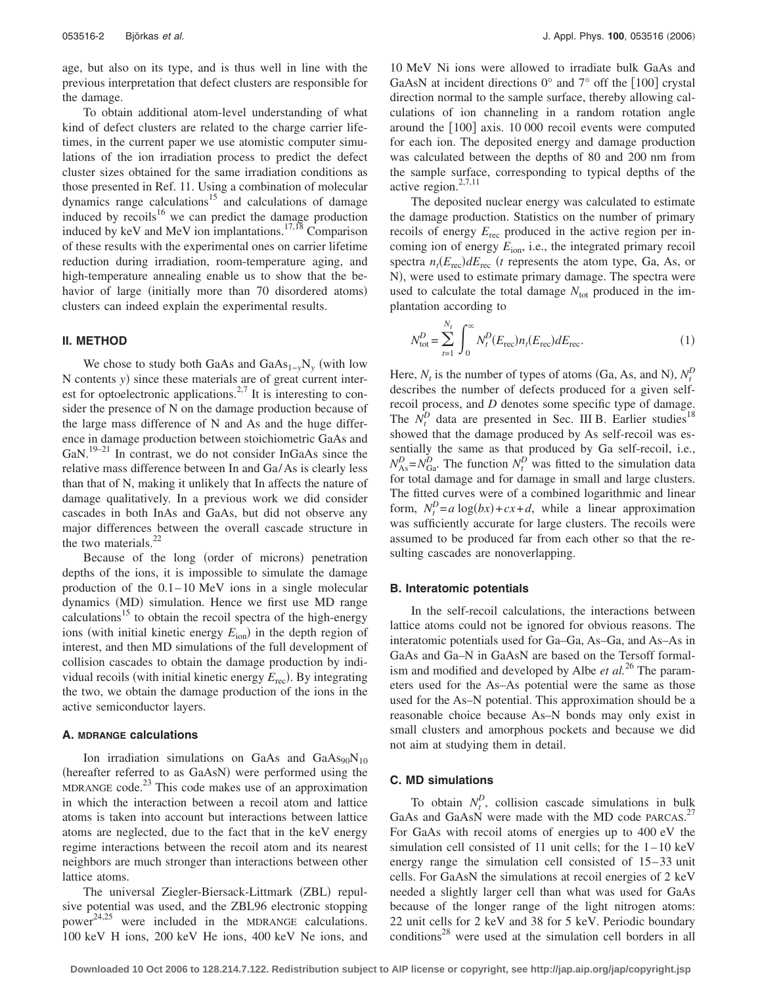age, but also on its type, and is thus well in line with the previous interpretation that defect clusters are responsible for the damage.

To obtain additional atom-level understanding of what kind of defect clusters are related to the charge carrier lifetimes, in the current paper we use atomistic computer simulations of the ion irradiation process to predict the defect cluster sizes obtained for the same irradiation conditions as those presented in Ref. 11. Using a combination of molecular dynamics range calculations<sup>15</sup> and calculations of damage induced by recoils<sup>16</sup> we can predict the damage production induced by keV and MeV ion implantations.17,18 Comparison of these results with the experimental ones on carrier lifetime reduction during irradiation, room-temperature aging, and high-temperature annealing enable us to show that the behavior of large (initially more than 70 disordered atoms) clusters can indeed explain the experimental results.

### **II. METHOD**

We chose to study both GaAs and GaAs<sub>1−*y*</sub>N<sub>*y*</sub> (with low N contents *y*) since these materials are of great current interest for optoelectronic applications.<sup>2,7</sup> It is interesting to consider the presence of N on the damage production because of the large mass difference of N and As and the huge difference in damage production between stoichiometric GaAs and GaN.<sup>19–21</sup> In contrast, we do not consider InGaAs since the relative mass difference between In and Ga/As is clearly less than that of N, making it unlikely that In affects the nature of damage qualitatively. In a previous work we did consider cascades in both InAs and GaAs, but did not observe any major differences between the overall cascade structure in the two materials. $^{22}$ 

Because of the long (order of microns) penetration depths of the ions, it is impossible to simulate the damage production of the 0.1–10 MeV ions in a single molecular dynamics (MD) simulation. Hence we first use MD range calculations<sup>15</sup> to obtain the recoil spectra of the high-energy ions (with initial kinetic energy  $E_{\text{ion}}$ ) in the depth region of interest, and then MD simulations of the full development of collision cascades to obtain the damage production by individual recoils (with initial kinetic energy  $E_{\text{rec}}$ ). By integrating the two, we obtain the damage production of the ions in the active semiconductor layers.

#### **A. MDRANGE calculations**

Ion irradiation simulations on GaAs and  $GaAs_{90}N_{10}$ (hereafter referred to as GaAsN) were performed using the MDRANGE code. $^{23}$  This code makes use of an approximation in which the interaction between a recoil atom and lattice atoms is taken into account but interactions between lattice atoms are neglected, due to the fact that in the keV energy regime interactions between the recoil atom and its nearest neighbors are much stronger than interactions between other lattice atoms.

The universal Ziegler-Biersack-Littmark (ZBL) repulsive potential was used, and the ZBL96 electronic stopping power<sup>24,25</sup> were included in the MDRANGE calculations. 100 keV H ions, 200 keV He ions, 400 keV Ne ions, and

10 MeV Ni ions were allowed to irradiate bulk GaAs and GaAsN at incident directions  $0^{\circ}$  and  $7^{\circ}$  off the [100] crystal direction normal to the sample surface, thereby allowing calculations of ion channeling in a random rotation angle around the  $\lceil 100 \rceil$  axis. 10 000 recoil events were computed for each ion. The deposited energy and damage production was calculated between the depths of 80 and 200 nm from the sample surface, corresponding to typical depths of the active region.2,7,11

The deposited nuclear energy was calculated to estimate the damage production. Statistics on the number of primary recoils of energy  $E_{\text{rec}}$  produced in the active region per incoming ion of energy  $E_{\text{ion}}$ , i.e., the integrated primary recoil spectra  $n_t(E_{\text{rec}})dE_{\text{rec}}$  (*t* represents the atom type, Ga, As, or N), were used to estimate primary damage. The spectra were used to calculate the total damage  $N_{\text{tot}}$  produced in the implantation according to

$$
N_{\text{tot}}^D = \sum_{t=1}^{N_t} \int_0^\infty N_t^D(E_{\text{rec}}) n_t(E_{\text{rec}}) dE_{\text{rec}}.
$$
 (1)

Here,  $N_t$  is the number of types of atoms (Ga, As, and N),  $N_t^D$ describes the number of defects produced for a given selfrecoil process, and *D* denotes some specific type of damage. The  $N_t^D$  data are presented in Sec. III B. Earlier studies<sup>18</sup> showed that the damage produced by As self-recoil was essentially the same as that produced by Ga self-recoil, i.e.,  $N_{\text{As}}^D = N_{\text{Ga}}^D$ . The function  $N_t^D$  was fitted to the simulation data for total damage and for damage in small and large clusters. The fitted curves were of a combined logarithmic and linear form,  $N_t^D = a \log(bx) + cx + d$ , while a linear approximation was sufficiently accurate for large clusters. The recoils were assumed to be produced far from each other so that the resulting cascades are nonoverlapping.

### **B. Interatomic potentials**

In the self-recoil calculations, the interactions between lattice atoms could not be ignored for obvious reasons. The interatomic potentials used for Ga–Ga, As–Ga, and As–As in GaAs and Ga–N in GaAsN are based on the Tersoff formalism and modified and developed by Albe *et al.*<sup>26</sup> The parameters used for the As–As potential were the same as those used for the As–N potential. This approximation should be a reasonable choice because As–N bonds may only exist in small clusters and amorphous pockets and because we did not aim at studying them in detail.

## **C. MD simulations**

To obtain  $N_t^D$ , collision cascade simulations in bulk GaAs and GaAsN were made with the MD code PARCAS.<sup>27</sup> For GaAs with recoil atoms of energies up to 400 eV the simulation cell consisted of 11 unit cells; for the 1–10 keV energy range the simulation cell consisted of 15–33 unit cells. For GaAsN the simulations at recoil energies of 2 keV needed a slightly larger cell than what was used for GaAs because of the longer range of the light nitrogen atoms: 22 unit cells for 2 keV and 38 for 5 keV. Periodic boundary conditions<sup>28</sup> were used at the simulation cell borders in all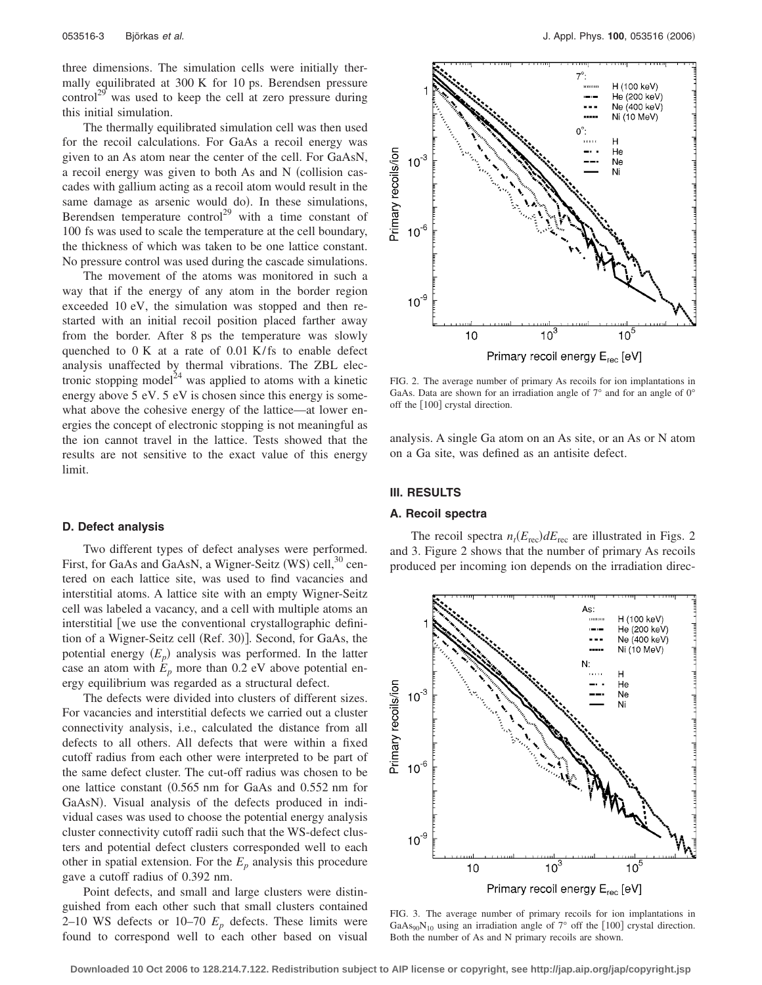three dimensions. The simulation cells were initially thermally equilibrated at 300 K for 10 ps. Berendsen pressure  $control<sup>29</sup>$  was used to keep the cell at zero pressure during this initial simulation.

The thermally equilibrated simulation cell was then used for the recoil calculations. For GaAs a recoil energy was given to an As atom near the center of the cell. For GaAsN, a recoil energy was given to both As and N (collision cascades with gallium acting as a recoil atom would result in the same damage as arsenic would do). In these simulations, Berendsen temperature control<sup>29</sup> with a time constant of 100 fs was used to scale the temperature at the cell boundary, the thickness of which was taken to be one lattice constant. No pressure control was used during the cascade simulations.

The movement of the atoms was monitored in such a way that if the energy of any atom in the border region exceeded 10 eV, the simulation was stopped and then restarted with an initial recoil position placed farther away from the border. After 8 ps the temperature was slowly quenched to 0 K at a rate of 0.01 K/fs to enable defect analysis unaffected by thermal vibrations. The ZBL electronic stopping model<sup>24</sup> was applied to atoms with a kinetic energy above 5 eV. 5 eV is chosen since this energy is somewhat above the cohesive energy of the lattice—at lower energies the concept of electronic stopping is not meaningful as the ion cannot travel in the lattice. Tests showed that the results are not sensitive to the exact value of this energy limit.

### **D. Defect analysis**

Two different types of defect analyses were performed. First, for GaAs and GaAsN, a Wigner-Seitz (WS) cell,<sup>30</sup> centered on each lattice site, was used to find vacancies and interstitial atoms. A lattice site with an empty Wigner-Seitz cell was labeled a vacancy, and a cell with multiple atoms an interstitial we use the conventional crystallographic definition of a Wigner-Seitz cell (Ref. 30)]. Second, for GaAs, the potential energy  $(E_p)$  analysis was performed. In the latter case an atom with  $E_p$  more than 0.2 eV above potential energy equilibrium was regarded as a structural defect.

The defects were divided into clusters of different sizes. For vacancies and interstitial defects we carried out a cluster connectivity analysis, i.e., calculated the distance from all defects to all others. All defects that were within a fixed cutoff radius from each other were interpreted to be part of the same defect cluster. The cut-off radius was chosen to be one lattice constant 0.565 nm for GaAs and 0.552 nm for GaAsN). Visual analysis of the defects produced in individual cases was used to choose the potential energy analysis cluster connectivity cutoff radii such that the WS-defect clusters and potential defect clusters corresponded well to each other in spatial extension. For the  $E_p$  analysis this procedure gave a cutoff radius of 0.392 nm.

Point defects, and small and large clusters were distinguished from each other such that small clusters contained 2–10 WS defects or 10–70  $E_p$  defects. These limits were found to correspond well to each other based on visual



FIG. 2. The average number of primary As recoils for ion implantations in GaAs. Data are shown for an irradiation angle of  $7^\circ$  and for an angle of  $0^\circ$ off the  $[100]$  crystal direction.

analysis. A single Ga atom on an As site, or an As or N atom on a Ga site, was defined as an antisite defect.

# **III. RESULTS**

### **A. Recoil spectra**

The recoil spectra  $n_t(E_{\text{rec}})dE_{\text{rec}}$  are illustrated in Figs. 2 and 3. Figure 2 shows that the number of primary As recoils produced per incoming ion depends on the irradiation direc-



FIG. 3. The average number of primary recoils for ion implantations in GaAs<sub>90</sub>N<sub>10</sub> using an irradiation angle of  $7^{\circ}$  off the [100] crystal direction. Both the number of As and N primary recoils are shown.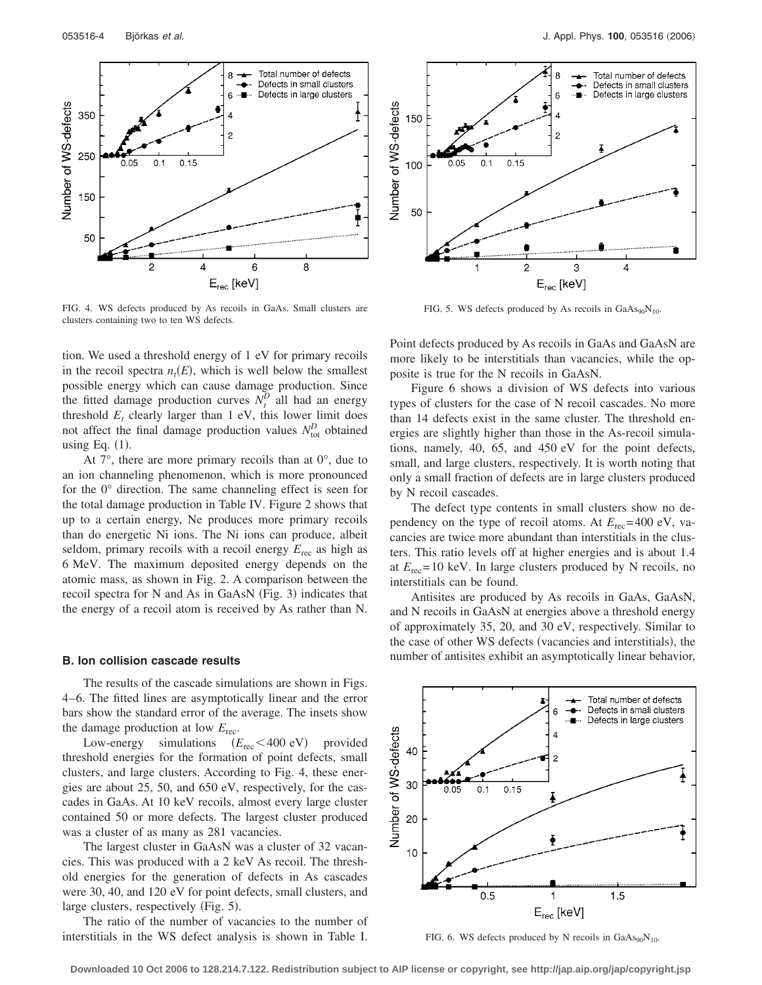

FIG. 4. WS defects produced by As recoils in GaAs. Small clusters are clusters containing two to ten WS defects.

tion. We used a threshold energy of 1 eV for primary recoils in the recoil spectra  $n_t(E)$ , which is well below the smallest possible energy which can cause damage production. Since the fitted damage production curves  $N_t^D$  all had an energy threshold  $E_t$  clearly larger than 1 eV, this lower limit does not affect the final damage production values  $N_{\text{tot}}^D$  obtained using Eq.  $(1)$ .

At  $7^\circ$ , there are more primary recoils than at  $0^\circ$ , due to an ion channeling phenomenon, which is more pronounced for the 0° direction. The same channeling effect is seen for the total damage production in Table IV. Figure 2 shows that up to a certain energy, Ne produces more primary recoils than do energetic Ni ions. The Ni ions can produce, albeit seldom, primary recoils with a recoil energy  $E_{\text{rec}}$  as high as 6 MeV. The maximum deposited energy depends on the atomic mass, as shown in Fig. 2. A comparison between the recoil spectra for N and As in GaAsN (Fig. 3) indicates that the energy of a recoil atom is received by As rather than N.

#### **B. Ion collision cascade results**

The results of the cascade simulations are shown in Figs. 4–6. The fitted lines are asymptotically linear and the error bars show the standard error of the average. The insets show the damage production at low *E*rec.

Low-energy simulations  $(E_{\text{rec}}<400 \text{ eV})$  provided threshold energies for the formation of point defects, small clusters, and large clusters. According to Fig. 4, these energies are about 25, 50, and 650 eV, respectively, for the cascades in GaAs. At 10 keV recoils, almost every large cluster contained 50 or more defects. The largest cluster produced was a cluster of as many as 281 vacancies.

The largest cluster in GaAsN was a cluster of 32 vacancies. This was produced with a 2 keV As recoil. The threshold energies for the generation of defects in As cascades were 30, 40, and 120 eV for point defects, small clusters, and large clusters, respectively (Fig. 5).

The ratio of the number of vacancies to the number of interstitials in the WS defect analysis is shown in Table I.



FIG. 5. WS defects produced by As recoils in  $GaAs_{90}N_{10}$ .

Point defects produced by As recoils in GaAs and GaAsN are more likely to be interstitials than vacancies, while the opposite is true for the N recoils in GaAsN.

Figure 6 shows a division of WS defects into various types of clusters for the case of N recoil cascades. No more than 14 defects exist in the same cluster. The threshold energies are slightly higher than those in the As-recoil simulations, namely, 40, 65, and 450 eV for the point defects, small, and large clusters, respectively. It is worth noting that only a small fraction of defects are in large clusters produced by N recoil cascades.

The defect type contents in small clusters show no dependency on the type of recoil atoms. At  $E_{\text{rec}}$ =400 eV, vacancies are twice more abundant than interstitials in the clusters. This ratio levels off at higher energies and is about 1.4 at  $E_{\text{rec}}$ =10 keV. In large clusters produced by N recoils, no interstitials can be found.

Antisites are produced by As recoils in GaAs, GaAsN, and N recoils in GaAsN at energies above a threshold energy of approximately 35, 20, and 30 eV, respectively. Similar to the case of other WS defects (vacancies and interstitials), the number of antisites exhibit an asymptotically linear behavior,



FIG. 6. WS defects produced by N recoils in  $GaAs_{90}N_{10}$ .

**Downloaded 10 Oct 2006 to 128.214.7.122. Redistribution subject to AIP license or copyright, see http://jap.aip.org/jap/copyright.jsp**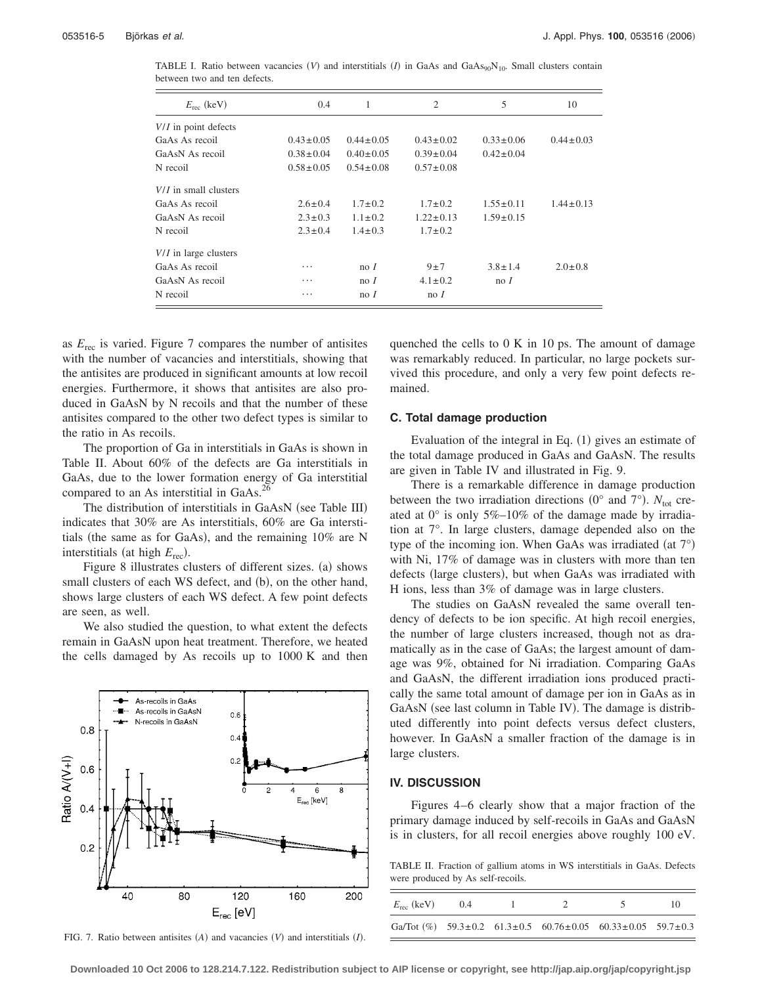| $E_{\text{rec}}$ (keV)  | 0.4             | 1                     | $\overline{2}$  | 5               | 10              |
|-------------------------|-----------------|-----------------------|-----------------|-----------------|-----------------|
| $V/I$ in point defects  |                 |                       |                 |                 |                 |
| GaAs As recoil          | $0.43 \pm 0.05$ | $0.44 \pm 0.05$       | $0.43 \pm 0.02$ | $0.33 \pm 0.06$ | $0.44 \pm 0.03$ |
| GaAsN As recoil         | $0.38 \pm 0.04$ | $0.40 \pm 0.05$       | $0.39 \pm 0.04$ | $0.42 \pm 0.04$ |                 |
| N recoil                | $0.58 \pm 0.05$ | $0.54 \pm 0.08$       | $0.57 \pm 0.08$ |                 |                 |
| $V/I$ in small clusters |                 |                       |                 |                 |                 |
| GaAs As recoil          | $2.6 \pm 0.4$   | $1.7 \pm 0.2$         | $1.7 \pm 0.2$   | $1.55 \pm 0.11$ | $1.44 \pm 0.13$ |
| GaAsN As recoil         | $2.3 \pm 0.3$   | $1.1 \pm 0.2$         | $1.22 \pm 0.13$ | $1.59 \pm 0.15$ |                 |
| N recoil                | $2.3 \pm 0.4$   | $1.4 \pm 0.3$         | $1.7 \pm 0.2$   |                 |                 |
| $V/I$ in large clusters |                 |                       |                 |                 |                 |
| GaAs As recoil          | .               | no <sub>I</sub>       | $9\pm7$         | $3.8 \pm 1.4$   | $2.0 \pm 0.8$   |
| GaAsN As recoil         | .               | no <sub>I</sub>       | $4.1 \pm 0.2$   | $\text{no } I$  |                 |
| N recoil                | .               | $\operatorname{no} I$ | no <sub>I</sub> |                 |                 |

TABLE I. Ratio between vacancies (V) and interstitials (I) in GaAs and GaAs<sub>90</sub>N<sub>10</sub>. Small clusters contain between two and ten defects.

as *E*rec is varied. Figure 7 compares the number of antisites with the number of vacancies and interstitials, showing that the antisites are produced in significant amounts at low recoil energies. Furthermore, it shows that antisites are also produced in GaAsN by N recoils and that the number of these antisites compared to the other two defect types is similar to the ratio in As recoils.

The proportion of Ga in interstitials in GaAs is shown in Table II. About 60% of the defects are Ga interstitials in GaAs, due to the lower formation energy of Ga interstitial compared to an As interstitial in GaAs.<sup>26</sup>

The distribution of interstitials in GaAsN (see Table III) indicates that 30% are As interstitials, 60% are Ga interstitials (the same as for GaAs), and the remaining  $10\%$  are N interstitials (at high  $E_{\text{rec}}$ ).

Figure 8 illustrates clusters of different sizes. (a) shows small clusters of each WS defect, and (b), on the other hand, shows large clusters of each WS defect. A few point defects are seen, as well.

We also studied the question, to what extent the defects remain in GaAsN upon heat treatment. Therefore, we heated the cells damaged by As recoils up to 1000 K and then



FIG. 7. Ratio between antisites  $(A)$  and vacancies  $(V)$  and interstitials  $(I)$ .

quenched the cells to 0 K in 10 ps. The amount of damage was remarkably reduced. In particular, no large pockets survived this procedure, and only a very few point defects remained.

### **C. Total damage production**

Evaluation of the integral in Eq. (1) gives an estimate of the total damage produced in GaAs and GaAsN. The results are given in Table IV and illustrated in Fig. 9.

There is a remarkable difference in damage production between the two irradiation directions ( $0^{\circ}$  and  $7^{\circ}$ ).  $N_{\text{tot}}$  created at  $0^{\circ}$  is only 5%–10% of the damage made by irradiation at 7°. In large clusters, damage depended also on the type of the incoming ion. When GaAs was irradiated (at  $7^{\circ}$ ) with Ni, 17% of damage was in clusters with more than ten defects (large clusters), but when GaAs was irradiated with H ions, less than 3% of damage was in large clusters.

The studies on GaAsN revealed the same overall tendency of defects to be ion specific. At high recoil energies, the number of large clusters increased, though not as dramatically as in the case of GaAs; the largest amount of damage was 9%, obtained for Ni irradiation. Comparing GaAs and GaAsN, the different irradiation ions produced practically the same total amount of damage per ion in GaAs as in GaAsN (see last column in Table IV). The damage is distributed differently into point defects versus defect clusters, however. In GaAsN a smaller fraction of the damage is in large clusters.

### **IV. DISCUSSION**

Figures 4–6 clearly show that a major fraction of the primary damage induced by self-recoils in GaAs and GaAsN is in clusters, for all recoil energies above roughly 100 eV.

TABLE II. Fraction of gallium atoms in WS interstitials in GaAs. Defects were produced by As self-recoils.

| $E_{\text{rec}}$ (keV) | $0.4^{\circ}$ |  |                                                                | 10 |
|------------------------|---------------|--|----------------------------------------------------------------|----|
|                        |               |  | Ga/Tot $(\%)$ 59.3±0.2 61.3±0.5 60.76±0.05 60.33±0.05 59.7±0.3 |    |

**Downloaded 10 Oct 2006 to 128.214.7.122. Redistribution subject to AIP license or copyright, see http://jap.aip.org/jap/copyright.jsp**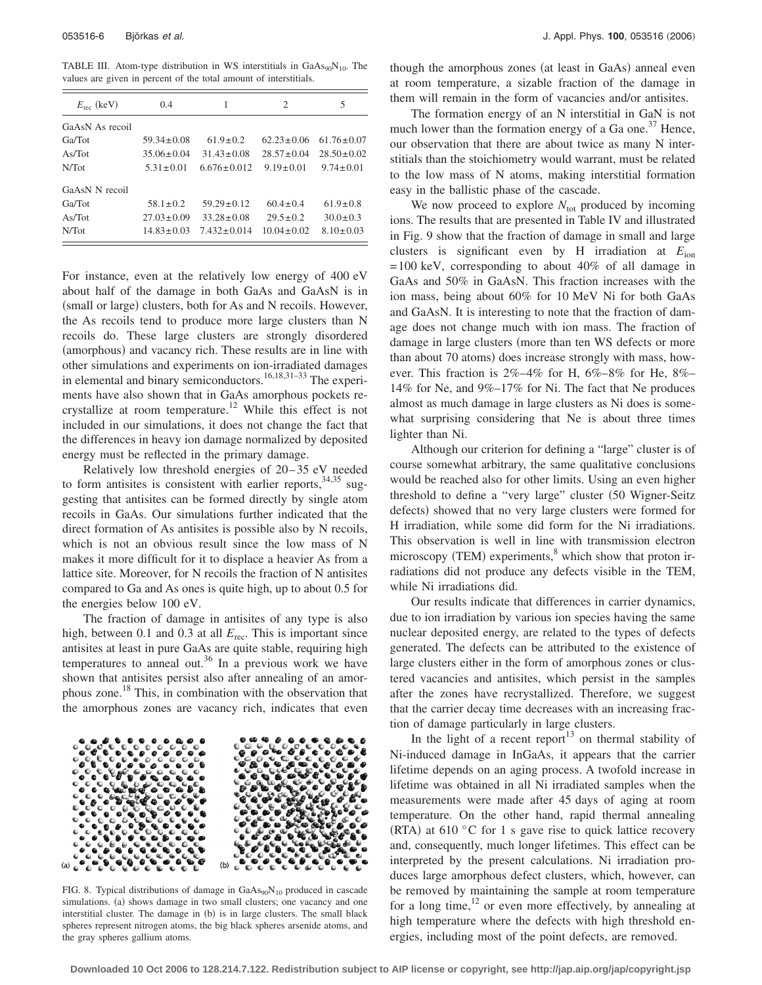TABLE III. Atom-type distribution in WS interstitials in  $GaAs_{90}N_{10}$ . The values are given in percent of the total amount of interstitials.

| $E_{\text{rec}}$ (keV)                 | 0.4              | 1                 | 2                | 5                |
|----------------------------------------|------------------|-------------------|------------------|------------------|
| GaAsN As recoil                        |                  |                   |                  |                  |
| Ga/Tot                                 | $59.34 \pm 0.08$ | $61.9 \pm 0.2$    | $62.23 \pm 0.06$ | $61.76 \pm 0.07$ |
| As/Tot                                 | $35.06 \pm 0.04$ | $31.43 \pm 0.08$  | $28.57 \pm 0.04$ | $28.50 \pm 0.02$ |
| N/Tot                                  | $5.31 \pm 0.01$  | $6.676 \pm 0.012$ | $9.19 \pm 0.01$  | $9.74 \pm 0.01$  |
| GaA <sub>s</sub> N <sub>N</sub> recoil |                  |                   |                  |                  |
| Ga/Tot                                 | $58.1 \pm 0.2$   | $59.29 \pm 0.12$  | $60.4 \pm 0.4$   | $61.9 \pm 0.8$   |
| As/Tot                                 | $27.03 \pm 0.09$ | $33.28 \pm 0.08$  | $29.5 \pm 0.2$   | $30.0 \pm 0.3$   |
| N/Tot                                  | $14.83 \pm 0.03$ | $7.432 \pm 0.014$ | $10.04 \pm 0.02$ | $8.10 \pm 0.03$  |

For instance, even at the relatively low energy of 400 eV about half of the damage in both GaAs and GaAsN is in (small or large) clusters, both for As and N recoils. However, the As recoils tend to produce more large clusters than N recoils do. These large clusters are strongly disordered (amorphous) and vacancy rich. These results are in line with other simulations and experiments on ion-irradiated damages in elemental and binary semiconductors.<sup>16,18,31–33</sup> The experiments have also shown that in GaAs amorphous pockets recrystallize at room temperature.<sup>12</sup> While this effect is not included in our simulations, it does not change the fact that the differences in heavy ion damage normalized by deposited energy must be reflected in the primary damage.

Relatively low threshold energies of 20–35 eV needed to form antisites is consistent with earlier reports,  $34,35$  suggesting that antisites can be formed directly by single atom recoils in GaAs. Our simulations further indicated that the direct formation of As antisites is possible also by N recoils, which is not an obvious result since the low mass of N makes it more difficult for it to displace a heavier As from a lattice site. Moreover, for N recoils the fraction of N antisites compared to Ga and As ones is quite high, up to about 0.5 for the energies below 100 eV.

The fraction of damage in antisites of any type is also high, between 0.1 and 0.3 at all  $E_{\text{rec}}$ . This is important since antisites at least in pure GaAs are quite stable, requiring high temperatures to anneal out.<sup>36</sup> In a previous work we have shown that antisites persist also after annealing of an amorphous zone.18 This, in combination with the observation that the amorphous zones are vacancy rich, indicates that even



FIG. 8. Typical distributions of damage in  $GaAs_{90}N_{10}$  produced in cascade simulations. (a) shows damage in two small clusters; one vacancy and one interstitial cluster. The damage in (b) is in large clusters. The small black spheres represent nitrogen atoms, the big black spheres arsenide atoms, and the gray spheres gallium atoms.

though the amorphous zones (at least in GaAs) anneal even at room temperature, a sizable fraction of the damage in them will remain in the form of vacancies and/or antisites.

The formation energy of an N interstitial in GaN is not much lower than the formation energy of a Ga one.<sup>37</sup> Hence, our observation that there are about twice as many N interstitials than the stoichiometry would warrant, must be related to the low mass of N atoms, making interstitial formation easy in the ballistic phase of the cascade.

We now proceed to explore  $N_{\text{tot}}$  produced by incoming ions. The results that are presented in Table IV and illustrated in Fig. 9 show that the fraction of damage in small and large clusters is significant even by H irradiation at *E*ion =100 keV, corresponding to about 40% of all damage in GaAs and 50% in GaAsN. This fraction increases with the ion mass, being about 60% for 10 MeV Ni for both GaAs and GaAsN. It is interesting to note that the fraction of damage does not change much with ion mass. The fraction of damage in large clusters (more than ten WS defects or more than about 70 atoms) does increase strongly with mass, however. This fraction is 2%–4% for H, 6%–8% for He, 8%– 14% for Ne, and 9%–17% for Ni. The fact that Ne produces almost as much damage in large clusters as Ni does is somewhat surprising considering that Ne is about three times lighter than Ni.

Although our criterion for defining a "large" cluster is of course somewhat arbitrary, the same qualitative conclusions would be reached also for other limits. Using an even higher threshold to define a "very large" cluster (50 Wigner-Seitz defects) showed that no very large clusters were formed for H irradiation, while some did form for the Ni irradiations. This observation is well in line with transmission electron microscopy (TEM) experiments,<sup>8</sup> which show that proton irradiations did not produce any defects visible in the TEM, while Ni irradiations did.

Our results indicate that differences in carrier dynamics, due to ion irradiation by various ion species having the same nuclear deposited energy, are related to the types of defects generated. The defects can be attributed to the existence of large clusters either in the form of amorphous zones or clustered vacancies and antisites, which persist in the samples after the zones have recrystallized. Therefore, we suggest that the carrier decay time decreases with an increasing fraction of damage particularly in large clusters.

In the light of a recent report<sup>13</sup> on thermal stability of Ni-induced damage in InGaAs, it appears that the carrier lifetime depends on an aging process. A twofold increase in lifetime was obtained in all Ni irradiated samples when the measurements were made after 45 days of aging at room temperature. On the other hand, rapid thermal annealing (RTA) at 610 °C for 1 s gave rise to quick lattice recovery and, consequently, much longer lifetimes. This effect can be interpreted by the present calculations. Ni irradiation produces large amorphous defect clusters, which, however, can be removed by maintaining the sample at room temperature for a long time, $12$  or even more effectively, by annealing at high temperature where the defects with high threshold energies, including most of the point defects, are removed.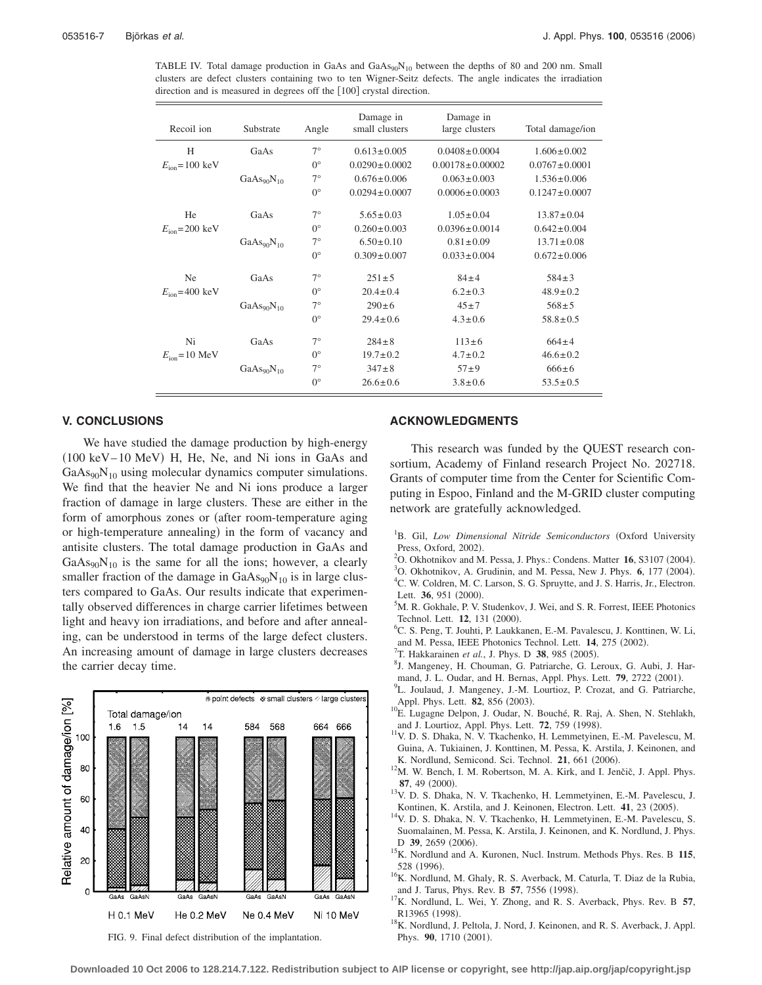TABLE IV. Total damage production in GaAs and  $GaAs_{90}N_{10}$  between the depths of 80 and 200 nm. Small clusters are defect clusters containing two to ten Wigner-Seitz defects. The angle indicates the irradiation direction and is measured in degrees off the  $[100]$  crystal direction.

| Recoil ion                        | Substrate                          | Angle       | Damage in<br>small clusters | Damage in<br>large clusters | Total damage/ion    |
|-----------------------------------|------------------------------------|-------------|-----------------------------|-----------------------------|---------------------|
| H                                 | GaAs                               | $7^\circ$   | $0.613 \pm 0.005$           | $0.0408 \pm 0.0004$         | $1.606 \pm 0.002$   |
| $E_{\text{ion}}$ =100 keV         |                                    | $0^{\circ}$ | $0.0290 \pm 0.0002$         | $0.00178 \pm 0.00002$       | $0.0767 \pm 0.0001$ |
|                                   | GaAs <sub>90</sub> N <sub>10</sub> | $7^\circ$   | $0.676 \pm 0.006$           | $0.063 \pm 0.003$           | $1.536 \pm 0.006$   |
|                                   |                                    | $0^{\circ}$ | $0.0294 \pm 0.0007$         | $0.0006 \pm 0.0003$         | $0.1247 \pm 0.0007$ |
| He                                | GaAs                               | $7^\circ$   | $5.65 \pm 0.03$             | $1.05 + 0.04$               | $13.87 \pm 0.04$    |
| $E_{\text{ion}}$ =200 keV         |                                    | $0^{\circ}$ | $0.260 \pm 0.003$           | $0.0396 \pm 0.0014$         | $0.642 \pm 0.004$   |
|                                   | GaAs <sub>90</sub> N <sub>10</sub> | $7^\circ$   | $6.50 \pm 0.10$             | $0.81 \pm 0.09$             | $13.71 \pm 0.08$    |
|                                   |                                    | $0^{\circ}$ | $0.309 \pm 0.007$           | $0.033 \pm 0.004$           | $0.672 \pm 0.006$   |
| Ne                                | GaAs                               | $7^\circ$   | $251 \pm 5$                 | $84 \pm 4$                  | $584 \pm 3$         |
| $E_{\text{ion}}$ =400 keV         |                                    | $0^{\circ}$ | $20.4 \pm 0.4$              | $6.2 \pm 0.3$               | $48.9 \pm 0.2$      |
|                                   | GaAs <sub>90</sub> N <sub>10</sub> | $7^\circ$   | $290 \pm 6$                 | $45 \pm 7$                  | $568 + 5$           |
|                                   |                                    | $0^{\circ}$ | $29.4 \pm 0.6$              | $4.3 \pm 0.6$               | $58.8 \pm 0.5$      |
| Ni                                | GaAs                               | $7^\circ$   | $284 \pm 8$                 | $113 \pm 6$                 | $664 \pm 4$         |
| $E_{\text{ion}} = 10 \text{ MeV}$ |                                    | $0^{\circ}$ | $19.7 \pm 0.2$              | $4.7 \pm 0.2$               | $46.6 \pm 0.2$      |
|                                   | GaAs <sub>90</sub> N <sub>10</sub> | $7^\circ$   | $347 \pm 8$                 | $57 + 9$                    | $666 \pm 6$         |
|                                   |                                    | $0^{\circ}$ | $26.6 \pm 0.6$              | $3.8 \pm 0.6$               | $53.5 \pm 0.5$      |

### **V. CONCLUSIONS**

We have studied the damage production by high-energy (100 keV-10 MeV) H, He, Ne, and Ni ions in GaAs and  $GaAs_{90}N_{10}$  using molecular dynamics computer simulations. We find that the heavier Ne and Ni ions produce a larger fraction of damage in large clusters. These are either in the form of amorphous zones or (after room-temperature aging or high-temperature annealing) in the form of vacancy and antisite clusters. The total damage production in GaAs and  $GaAs_{90}N_{10}$  is the same for all the ions; however, a clearly smaller fraction of the damage in  $GaAs<sub>90</sub>N<sub>10</sub>$  is in large clusters compared to GaAs. Our results indicate that experimentally observed differences in charge carrier lifetimes between light and heavy ion irradiations, and before and after annealing, can be understood in terms of the large defect clusters. An increasing amount of damage in large clusters decreases the carrier decay time.



## **ACKNOWLEDGMENTS**

This research was funded by the QUEST research consortium, Academy of Finland research Project No. 202718. Grants of computer time from the Center for Scientific Computing in Espoo, Finland and the M-GRID cluster computing network are gratefully acknowledged.

- <sup>1</sup>B. Gil, *Low Dimensional Nitride Semiconductors* (Oxford University Press, Oxford, 2002).<br>
<sup>2</sup>O. Okbatnikov and M
- <sup>2</sup>O. Okhotnikov and M. Pessa, J. Phys.: Condens. Matter **16**, S3107 (2004).
- <sup>3</sup>O. Okhotnikov, A. Grudinin, and M. Pessa, New J. Phys. **6**, 177 (2004). <sup>4</sup>C. W. Coldren, M. C. Larson, S. G. Spruytte, and J. S. Harris, Jr., Electron. Lett. **36**, 951 (2000).<br> ${}^{5}M$  B Gokhele B V.
- <sup>5</sup>M. R. Gokhale, P. V. Studenkov, J. Wei, and S. R. Forrest, IEEE Photonics Technol. Lett.  $12$ ,  $131$  (2000).
- <sup>6</sup>C. S. Peng, T. Jouhti, P. Laukkanen, E.-M. Pavalescu, J. Konttinen, W. Li, and M. Pessa, IEEE Photonics Technol. Lett. **14**, 275 (2002).
- $T<sup>T</sup>$ T. Hakkarainen *et al.*, J. Phys. D **38**, 985 (2005).
- <sup>8</sup>J. Mangeney, H. Chouman, G. Patriarche, G. Leroux, G. Aubi, J. Harmand, J. L. Oudar, and H. Bernas, Appl. Phys. Lett. **79**, 2722 (2001).
- <sup>9</sup>L. Joulaud, J. Mangeney, J.-M. Lourtioz, P. Crozat, and G. Patriarche, Appl. Phys. Lett. **82**, 856 (2003).
- <sup>10</sup>E. Lugagne Delpon, J. Oudar, N. Bouché, R. Raj, A. Shen, N. Stehlakh, and J. Lourtioz, Appl. Phys. Lett. **72**, 759 (1998).
- . 11V. D. S. Dhaka, N. V. Tkachenko, H. Lemmetyinen, E.-M. Pavelescu, M. Guina, A. Tukiainen, J. Konttinen, M. Pessa, K. Arstila, J. Keinonen, and K. Nordlund, Semicond. Sci. Technol. **21**, 661 (2006).
- <sup>12</sup>M. W. Bench, I. M. Robertson, M. A. Kirk, and I. Jenčič, J. Appl. Phys. **87**, 49 (2000).
- <sup>13</sup>V. D. S. Dhaka, N. V. Tkachenko, H. Lemmetyinen, E.-M. Pavelescu, J. Kontinen, K. Arstila, and J. Keinonen, Electron. Lett. 41, 23 (2005).
- <sup>14</sup>V. D. S. Dhaka, N. V. Tkachenko, H. Lemmetyinen, E.-M. Pavelescu, S. Suomalainen, M. Pessa, K. Arstila, J. Keinonen, and K. Nordlund, J. Phys. D 39, 2659 (2006).
- <sup>15</sup>K. Nordlund and A. Kuronen, Nucl. Instrum. Methods Phys. Res. B **115**, 528 (1996).
- <sup>16</sup>K. Nordlund, M. Ghaly, R. S. Averback, M. Caturla, T. Diaz de la Rubia, and J. Tarus, Phys. Rev. B 57, 7556 (1998).
- . 17K. Nordlund, L. Wei, Y. Zhong, and R. S. Averback, Phys. Rev. B **<sup>57</sup>**, R13965 (1998).
- <sup>18</sup>K. Nordlund, J. Peltola, J. Nord, J. Keinonen, and R. S. Averback, J. Appl. Phys. 90, 1710 (2001).